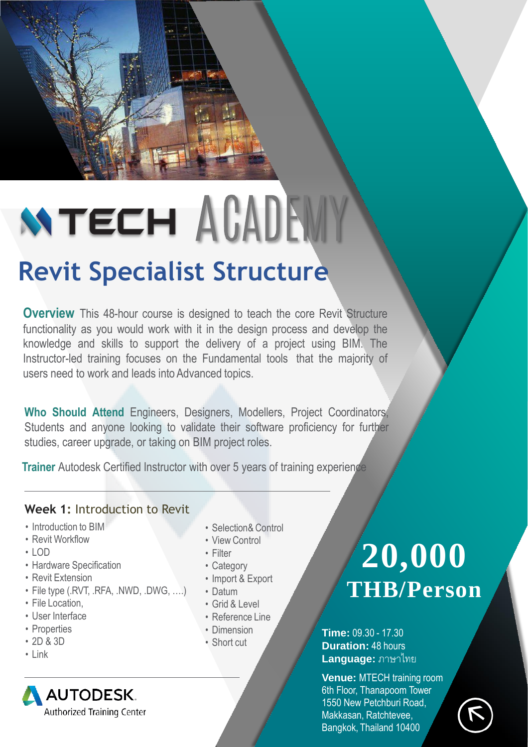# **NTECH AGADEMY Revit Specialist Structure**

**Overview** This 48-hour course is designed to teach the core Revit Structure functionality as you would work with it in the design process and develop the knowledge and skills to support the delivery of a project using BIM. The Instructor-led training focuses on the Fundamental tools that the majority of users need to work and leads into Advanced topics.

**Who Should Attend** Engineers, Designers, Modellers, Project Coordinators, Students and anyone looking to validate their software proficiency for further studies, career upgrade, or taking on BIM project roles.

**Trainer** Autodesk Certified Instructor with over 5 years of training experience

# **Week 1:** Introduction to Revit

- Introduction to BIM
- Revit Workflow
- LOD
- Hardware Specification
- Revit Extension
- File type (.RVT, .RFA, .NWD, .DWG, ….)
- File Location,
- User Interface
- Properties
- 2D & 3D
- Link
- **AUTODESK** Authorized Training Center
- Selection& Control
- View Control
- Filter
- Category
- Import & Export
- Datum
- Grid & Level
- Reference Line
- Dimension
- Short cut

# **20,000 THB/Person**

**Time:** 09.30 - 17.30 **Duration:** 48 hours **Language:** ภาษาไทย

**Venue:** MTECH training room 6th Floor, Thanapoom Tower 1550 New Petchburi Road, Makkasan, Ratchtevee, Bangkok, Thailand 10400